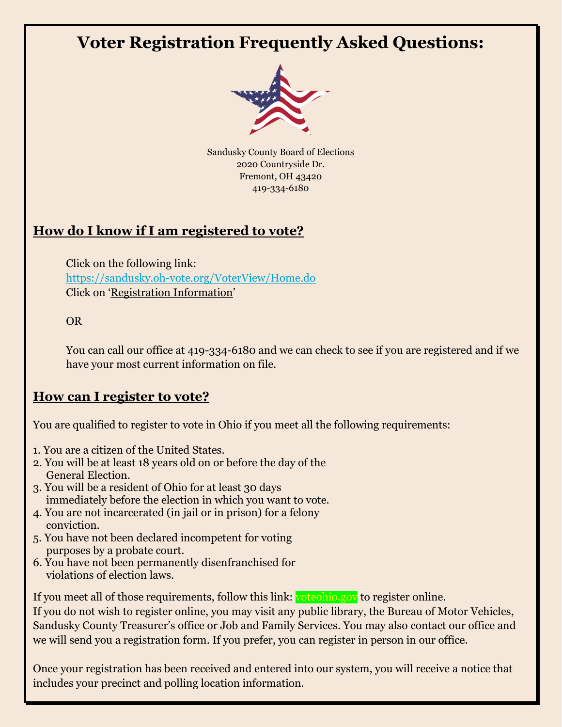# **Voter Registration Frequently Asked Questions:**



Sandusky County Board of Elections 2020 Countryside Dr. Fremont, OH 43420 419-334-6180

# **How do I know if I am registered to vote?**

Click on the following link: <https://sandusky.oh-vote.org/VoterView/Home.do> Click on 'Registration Information'

OR

You can call our office at 419-334-6180 and we can check to see if you are registered and if we have your most current information on file.

#### **How can I register to vote?**

You are qualified to register to vote in Ohio if you meet all the following requirements:

- 1. You are a citizen of the United States.
- 2. You will be at least 18 years old on or before the day of the General Election.
- 3. You will be a resident of Ohio for at least 30 days immediately before the election in which you want to vote.
- 4. You are not incarcerated (in jail or in prison) for a felony conviction.
- 5. You have not been declared incompetent for voting purposes by a probate court.
- 6. You have not been permanently disenfranchised for violations of election laws.

If you meet all of those requirements, follow this link: voteohio.gov to register online.

If you do not wish to register online, you may visit any public library, the Bureau of Motor Vehicles, Sandusky County Treasurer's office or Job and Family Services. You may also contact our office and we will send you a registration form. If you prefer, you can register in person in our office.

Once your registration has been received and entered into our system, you will receive a notice that includes your precinct and polling location information.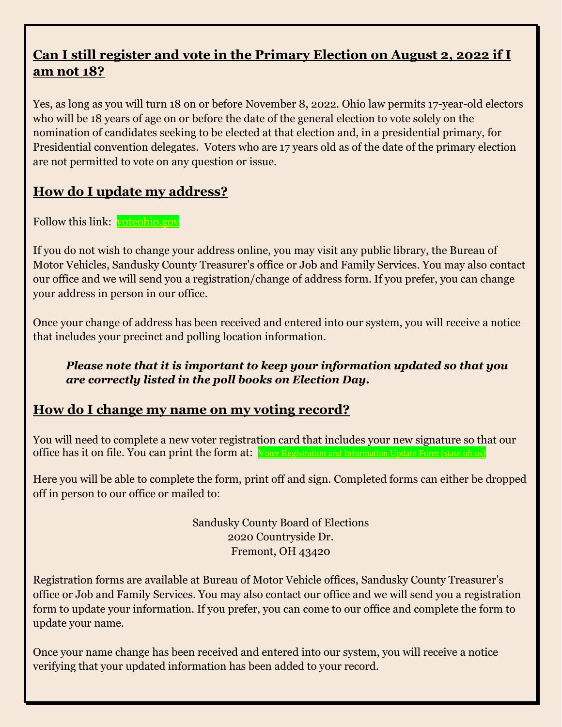### **Can I still register and vote in the Primary Election on August 2, 2022 if I am not 18?**

Yes, as long as you will turn 18 on or before November 8, 2022. Ohio law permits 17-year-old electors who will be 18 years of age on or before the date of the general election to vote solely on the nomination of candidates seeking to be elected at that election and, in a presidential primary, for Presidential convention delegates. Voters who are 17 years old as of the date of the primary election are not permitted to vote on any question or issue.

## **How do I update my address?**

Follow this link: [voteohio.gov](https://www.ohiosos.gov/elections/voters/)

If you do not wish to change your address online, you may visit any public library, the Bureau of Motor Vehicles, Sandusky County Treasurer's office or Job and Family Services. You may also contact our office and we will send you a registration/change of address form. If you prefer, you can change your address in person in our office.

Once your change of address has been received and entered into our system, you will receive a notice that includes your precinct and polling location information.

#### *Please note that it is important to keep your information updated so that you are correctly listed in the poll books on Election Day.*

#### **How do I change my name on my voting record?**

You will need to complete a new voter registration card that includes your new signature so that our office has it on file. You can print the form at: [Voter Registration and Information Update Form \(state.oh.us\)](https://www.sos.state.oh.us/globalassets/elections/forms/vr_form_04-2015.pdf)

Here you will be able to complete the form, print off and sign. Completed forms can either be dropped off in person to our office or mailed to:

> Sandusky County Board of Elections 2020 Countryside Dr. Fremont, OH 43420

Registration forms are available at Bureau of Motor Vehicle offices, Sandusky County Treasurer's office or Job and Family Services. You may also contact our office and we will send you a registration form to update your information. If you prefer, you can come to our office and complete the form to update your name.

Once your name change has been received and entered into our system, you will receive a notice verifying that your updated information has been added to your record.